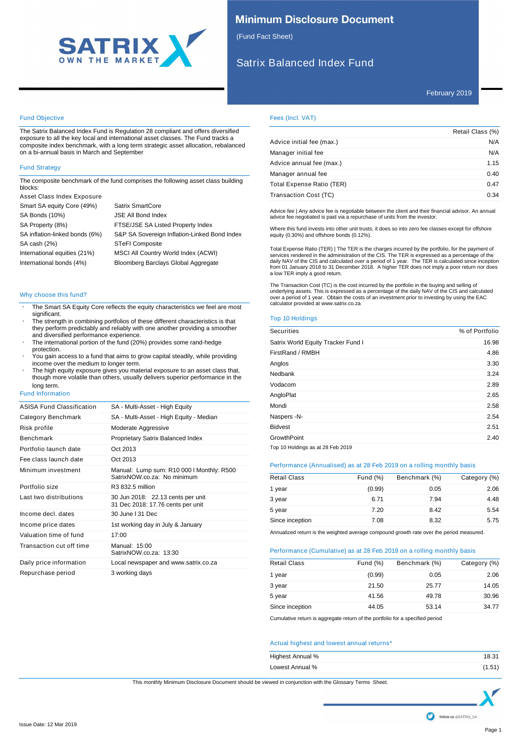

# **Minimum Disclosure Document**

(Fund Fact Sheet)

# Satrix Balanced Index Fund

# Fund Objective

The Satrix Balanced Index Fund is Regulation 28 compliant and offers diversified exposure to all the key local and international asset classes. The Fund tracks a composite index benchmark, with a long term strategic asset allocation, rebalanced on a bi-annual basis in March and September

# Fund Strategy

The composite benchmark of the fund comprises the following asset class building blocks:

| Asset Class Index Exposure     |                                              |
|--------------------------------|----------------------------------------------|
| Smart SA equity Core (49%)     | <b>Satrix SmartCore</b>                      |
| SA Bonds (10%)                 | JSE All Bond Index                           |
| SA Property (8%)               | FTSE/JSE SA Listed Property Index            |
| SA inflation-linked bonds (6%) | S&P SA Sovereign Inflation-Linked Bond Index |
| SA cash (2%)                   | <b>STeFI Composite</b>                       |
| International equities (21%)   | MSCI All Country World Index (ACWI)          |
| International bonds (4%)       | Bloomberg Barclays Global Aggregate          |

### Why choose this fund?

- The Smart SA Equity Core reflects the equity characteristics we feel are most significant.
- The strength in combining portfolios of these different characteristics is that they perform predictably and reliably with one another providing a smoother and diversified performance experience.
- The international portion of the fund (20%) provides some rand-hedge protection.
- You gain access to a fund that aims to grow capital steadily, while providing income over the medium to longer term.
- The high equity exposure gives you material exposure to an asset class that, though more volatile than others, usually delivers superior performance in the long term.

### Fund Information

| ASISA Fund Classification | SA - Multi-Asset - High Equity                                           |
|---------------------------|--------------------------------------------------------------------------|
| Category Benchmark        | SA - Multi-Asset - High Equity - Median                                  |
| Risk profile              | Moderate Aggressive                                                      |
| <b>Benchmark</b>          | Proprietary Satrix Balanced Index                                        |
| Portfolio launch date     | Oct 2013                                                                 |
| Fee class launch date     | Oct 2013                                                                 |
| Minimum investment        | Manual: Lump sum: R10 000   Monthly: R500<br>SatrixNOW.co.za: No minimum |
| Portfolio size            | R3 832 5 million                                                         |
| Last two distributions    | 30 Jun 2018: 22.13 cents per unit<br>31 Dec 2018: 17.76 cents per unit   |
| Income decl. dates        | 30 June I 31 Dec                                                         |
| Income price dates        | 1st working day in July & January                                        |
| Valuation time of fund    | 17:00                                                                    |
| Transaction cut off time  | Manual: 15:00<br>SatrixNOW.co.za: 13:30                                  |
| Daily price information   | Local newspaper and www.satrix.co.za                                     |
| Repurchase period         | 3 working days                                                           |

# Fees (Incl. VAT)

|                           | Retail Class (%) |
|---------------------------|------------------|
| Advice initial fee (max.) | N/A              |
| Manager initial fee       | N/A              |
| Advice annual fee (max.)  | 1.15             |
| Manager annual fee        | 0.40             |
| Total Expense Ratio (TER) | 0.47             |
| Transaction Cost (TC)     | 0.34             |

Advice fee | Any advice fee is negotiable between the client and their financial advisor. An annual advice fee negotiated is paid via a repurchase of units from the investor.

Where this fund invests into other unit trusts, it does so into zero fee classes except for offshore equity (0.30%) and offshore bonds (0.12%).

Total Expense Ratio (TER) | The TER is the charges incurred by the portfolio, for the payment of services rendered in the administration of the CIS. The TER is expressed as a percentage of the<br>daily NAV of the CIS and calculated over a period of 1 year. The TER is calculated since inception<br>from 01 January 2018 to 31

The Transaction Cost (TC) is the cost incurred by the portfolio in the buying and selling of underlying assets. This is expressed as a percentage of the daily NAV of the CIS and calculated over a period of 1 year. Obtain the costs of an investment prior to investing by using the EAC calculator provided at www.satrix.co.za

### Top 10 Holdings

| Securities                         | % of Portfolio |
|------------------------------------|----------------|
| Satrix World Equity Tracker Fund I | 16.98          |
| FirstRand / RMBH                   | 4.86           |
| Anglos                             | 3.30           |
| Nedbank                            | 3.24           |
| Vodacom                            | 2.89           |
| AngloPlat                          | 2.65           |
| Mondi                              | 2.58           |
| Naspers -N-                        | 2.54           |
| <b>Bidvest</b>                     | 2.51           |
| <b>GrowthPoint</b>                 | 2.40           |
| Top 10 Holdings as at 28 Feb 2019  |                |

### Performance (Annualised) as at 28 Feb 2019 on a rolling monthly basis

| <b>Retail Class</b> | Fund $(\%)$ | Benchmark (%) | Category (%) |
|---------------------|-------------|---------------|--------------|
| 1 year              | (0.99)      | 0.05          | 2.06         |
| 3 year              | 6.71        | 7.94          | 4.48         |
| 5 year              | 7.20        | 8.42          | 5.54         |
| Since inception     | 7.08        | 8.32          | 5.75         |

Annualized return is the weighted average compound growth rate over the period measured.

# Performance (Cumulative) as at 28 Feb 2019 on a rolling monthly basis

| <b>Retail Class</b> | Fund $(\%)$ | Benchmark (%) | Category (%) |
|---------------------|-------------|---------------|--------------|
| 1 year              | (0.99)      | 0.05          | 2.06         |
| 3 year              | 21.50       | 25.77         | 14.05        |
| 5 year              | 41.56       | 49.78         | 30.96        |
| Since inception     | 44.05       | 53.14         | 34.77        |

Cumulative return is aggregate return of the portfolio for a specified period

### Actual highest and lowest annual returns\*

| Highest Annual % | 18.31  |
|------------------|--------|
| Lowest Annual %  | (1.51) |

This monthly Minimum Disclosure Document should be viewed in conjunction with the Glossary Terms Sheet.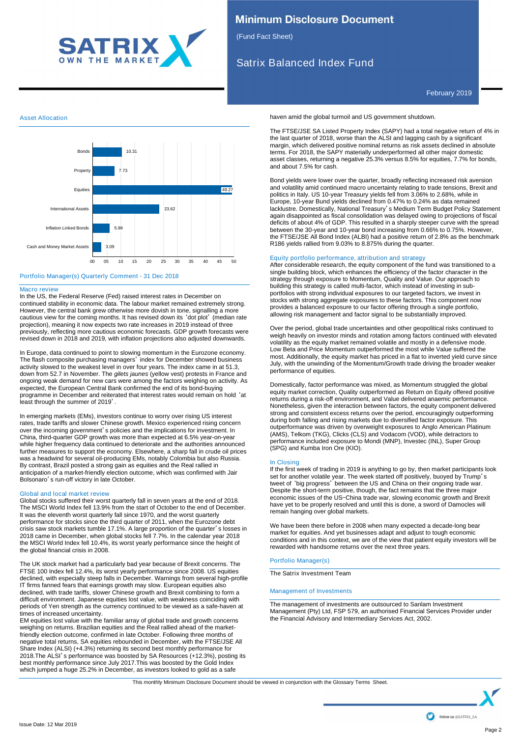

# **Minimum Disclosure Document**

(Fund Fact Sheet)

# Satrix Balanced Index Fund

February 2019

# Asset Allocation



# Portfolio Manager(s) Quarterly Comment - 31 Dec 2018

### Macro review

In the US, the Federal Reserve (Fed) raised interest rates in December on continued stability in economic data. The labour market remained extremely strong. However, the central bank grew otherwise more dovish in tone, signalling a more cautious view for the coming months. It has revised down its 'dot plot' (median rate projection), meaning it now expects two rate increases in 2019 instead of three previously, reflecting more cautious economic forecasts. GDP growth forecasts were revised down in 2018 and 2019, with inflation projections also adjusted downwards.

In Europe, data continued to point to slowing momentum in the Eurozone economy. The flash composite purchasing managers' index for December showed business activity slowed to the weakest level in over four years. The index came in at 51.3, down from 52.7 in November. The *gilets jaunes* (yellow vest) protests in France and ongoing weak demand for new cars were among the factors weighing on activity. As expected, the European Central Bank confirmed the end of its bond-buying programme in December and reiterated that interest rates would remain on hold 'at least through the summer of 2019'.

In emerging markets (EMs), investors continue to worry over rising US interest rates, trade tariffs and slower Chinese growth. Mexico experienced rising concern over the incoming government's policies and the implications for investment. In China, third-quarter GDP growth was more than expected at 6.5% year-on-year while higher frequency data continued to deteriorate and the authorities announced further measures to support the economy. Elsewhere, a sharp fall in crude oil prices was a headwind for several oil-producing EMs, notably Colombia but also Russia. By contrast, Brazil posted a strong gain as equities and the Real rallied in anticipation of a market-friendly election outcome, which was confirmed with Jair Bolsonaro's run-off victory in late October.

# Global and local market review

Global stocks suffered their worst quarterly fall in seven years at the end of 2018. The MSCI World Index fell 13.9% from the start of October to the end of December. It was the eleventh worst quarterly fall since 1970, and the worst quarterly performance for stocks since the third quarter of 2011, when the Eurozone debt crisis saw stock markets tumble 17.1%. A large proportion of the quarter's losses in 2018 came in December, when global stocks fell 7.7%. In the calendar year 2018 the MSCI World Index fell 10.4%, its worst yearly performance since the height of the global financial crisis in 2008.

The UK stock market had a particularly bad year because of Brexit concerns. The FTSE 100 Index fell 12.4%, its worst yearly performance since 2008. US equities declined, with especially steep falls in December. Warnings from several high-profile IT firms fanned fears that earnings growth may slow. European equities also declined, with trade tariffs, slower Chinese growth and Brexit combining to form a difficult environment. Japanese equities lost value, with weakness coinciding with periods of Yen strength as the currency continued to be viewed as a safe-haven at times of increased uncertainty.

EM equities lost value with the familiar array of global trade and growth concerns weighing on returns. Brazilian equities and the Real rallied ahead of the marketfriendly election outcome, confirmed in late October. Following three months of negative total returns, SA equities rebounded in December, with the FTSE/JSE All Share Index (ALSI) (+4.3%) returning its second best monthly performance for 2018.The ALSI's performance was boosted by SA Resources (+12.3%), posting its best monthly performance since July 2017.This was boosted by the Gold Index which jumped a huge 25.2% in December, as investors looked to gold as a safe

haven amid the global turmoil and US government shutdown.

The FTSE/JSE SA Listed Property Index (SAPY) had a total negative return of 4% in the last quarter of 2018, worse than the ALSI and lagging cash by a significant margin, which delivered positive nominal returns as risk assets declined in absolute terms. For 2018, the SAPY materially underperformed all other major domestic asset classes, returning a negative 25.3% versus 8.5% for equities, 7.7% for bonds, and about 7.5% for cash.

Bond yields were lower over the quarter, broadly reflecting increased risk aversion and volatility amid continued macro uncertainty relating to trade tensions, Brexit and politics in Italy. US 10-year Treasury yields fell from 3.06% to 2.68%, while in Europe, 10-year Bund yields declined from 0.47% to 0.24% as data remained lacklustre. Domestically, National Treasury's Medium Term Budget Policy Statement again disappointed as fiscal consolidation was delayed owing to projections of fiscal deficits of about 4% of GDP. This resulted in a sharply steeper curve with the spread between the 30-year and 10-year bond increasing from 0.66% to 0.75%. However, the FTSE/JSE All Bond Index (ALBI) had a positive return of 2.8% as the benchmark R186 yields rallied from 9.03% to 8.875% during the quarter.

# Equity portfolio performance, attribution and strategy

After considerable research, the equity component of the fund was transitioned to a single building block, which enhances the efficiency of the factor character in the strategy through exposure to Momentum, Quality and Value. Our approach to building this strategy is called multi-factor, which instead of investing in subportfolios with strong individual exposures to our targeted factors, we invest in stocks with strong aggregate exposures to these factors. This component now provides a balanced exposure to our factor offering through a single portfolio, allowing risk management and factor signal to be substantially improved.

Over the period, global trade uncertainties and other geopolitical risks continued to weigh heavily on investor minds and rotation among factors continued with elevated volatility as the equity market remained volatile and mostly in a defensive mode. Low Beta and Price Momentum outperformed the most while Value suffered the most. Additionally, the equity market has priced in a flat to inverted yield curve since July, with the unwinding of the Momentum/Growth trade driving the broader weaker performance of equities.

Domestically, factor performance was mixed, as Momentum struggled the global equity market correction, Quality outperformed as Return on Equity offered positive returns during a risk-off environment, and Value delivered anaemic performance. Nonetheless, given the interaction between factors, the equity component delivered strong and consistent excess returns over the period, encouragingly outperforming during both falling and rising markets due to diversified factor exposure. This outperformance was driven by overweight exposures to Anglo American Platinum (AMS), Telkom (TKG), Clicks (CLS) and Vodacom (VOD), while detractors to performance included exposure to Mondi (MNP), Investec (INL), Super Group (SPG) and Kumba Iron Ore (KIO).

### In Closing

If the first week of trading in 2019 is anything to go by, then market participants look set for another volatile year. The week started off positively, buoyed by Trump's tweet of 'big progress' between the US and China on their ongoing trade war. Despite the short-term positive, though, the fact remains that the three major economic issues of the US-China trade war, slowing economic growth and Brexit have yet to be properly resolved and until this is done, a sword of Damocles will remain hanging over global markets.

We have been there before in 2008 when many expected a decade-long bear market for equities. And yet businesses adapt and adjust to tough economic conditions and in this context, we are of the view that patient equity investors will be rewarded with handsome returns over the next three years.

# Portfolio Manager(s)

The Satrix Investment Team

### Management of Investments

The management of investments are outsourced to Sanlam Investment Management (Pty) Ltd, FSP 579, an authorised Financial Services Provider under the Financial Advisory and Intermediary Services Act, 2002.

haven amid the global turmoil and US government shutdown. This monthly Minimum Disclosure Document should be viewed in conjunction with the Glossary Terms Sheet.